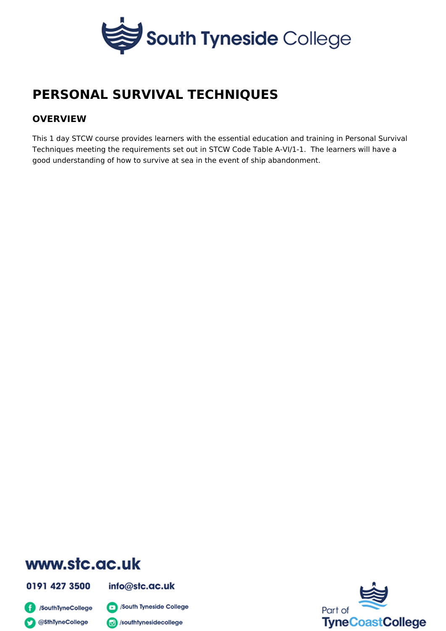### PERSONAL SURVIVAL TECHNIQUES

#### OVERVIEW

This 1 day STCW course provides learners with the essential education and train Techniques meeting the requirements set out in STCW Code Table A-VI/1-1. The good understanding of how to survive at sea in the event of ship abandonment.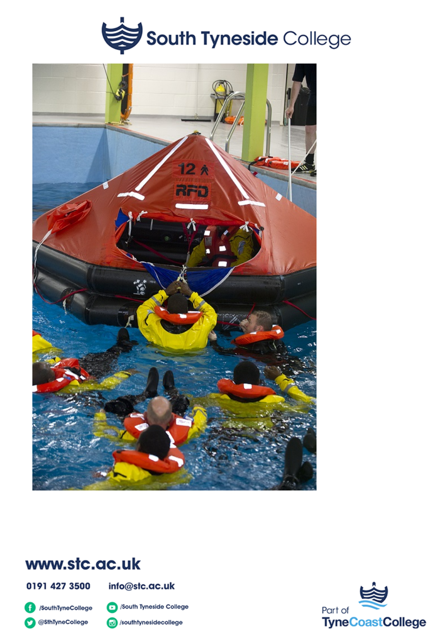



# www.stc.ac.uk

0191 427 3500

info@stc.ac.uk

/SouthTyneCollege @SthTyneCollege

South Tyneside College

oj /southtynesidecollege

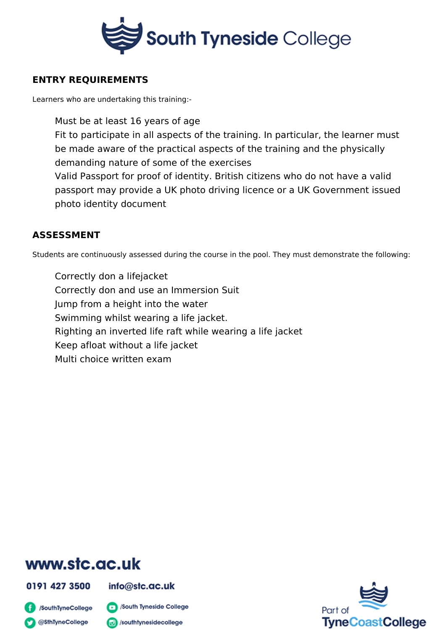

### **ENTRY REQUIREMENTS**

Learners who are undertaking this training:-

Must be at least 16 years of age

Fit to participate in all aspects of the training. In particular, the learner must be made aware of the practical aspects of the training and the physically demanding nature of some of the exercises

Valid Passport for proof of identity. British citizens who do not have a valid passport may provide a UK photo driving licence or a UK Government issued photo identity document

### **ASSESSMENT**

Students are continuously assessed during the course in the pool. They must demonstrate the following:

Correctly don a lifejacket Correctly don and use an Immersion Suit Jump from a height into the water Swimming whilst wearing a life jacket. Righting an inverted life raft while wearing a life jacket Keep afloat without a life jacket Multi choice written exam

# www.stc.ac.uk

0191 427 3500

 $info@$ stc.ac.uk

SouthTyneCollege **C** @SthTyneCollege

South Tyneside College

oj /southtynesidecollege

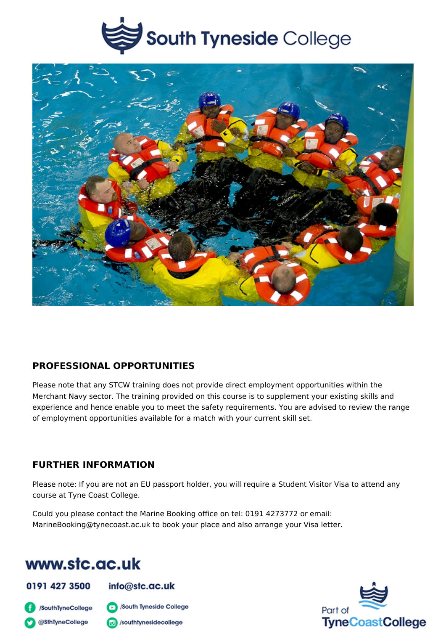



### **PROFESSIONAL OPPORTUNITIES**

Please note that any STCW training does not provide direct employment opportunities within the Merchant Navy sector. The training provided on this course is to supplement your existing skills and experience and hence enable you to meet the safety requirements. You are advised to review the range of employment opportunities available for a match with your current skill set.

### **FURTHER INFORMATION**

Please note: If you are not an EU passport holder, you will require a Student Visitor Visa to attend any course at Tyne Coast College.

Could you please contact the Marine Booking office on tel: 0191 4273772 or email: MarineBooking@tynecoast.ac.uk to book your place and also arrange your Visa letter.



0191 427 3500

info@stc.ac.uk

SouthTyneCollege **C** @SthTyneCollege

South Tyneside College

ci) /southtynesidecollege